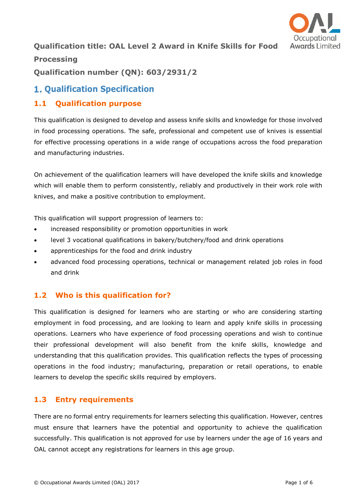

# **Qualification title: OAL Level 2 Award in Knife Skills for Food Processing Qualification number (QN): 603/2931/2**

# **1. Oualification Specification**

#### **1.1 Qualification purpose**

This qualification is designed to develop and assess knife skills and knowledge for those involved in food processing operations. The safe, professional and competent use of knives is essential for effective processing operations in a wide range of occupations across the food preparation and manufacturing industries.

On achievement of the qualification learners will have developed the knife skills and knowledge which will enable them to perform consistently, reliably and productively in their work role with knives, and make a positive contribution to employment.

This qualification will support progression of learners to:

- increased responsibility or promotion opportunities in work
- level 3 vocational qualifications in bakery/butchery/food and drink operations
- apprenticeships for the food and drink industry
- advanced food processing operations, technical or management related job roles in food and drink

## **1.2 Who is this qualification for?**

This qualification is designed for learners who are starting or who are considering starting employment in food processing, and are looking to learn and apply knife skills in processing operations. Learners who have experience of food processing operations and wish to continue their professional development will also benefit from the knife skills, knowledge and understanding that this qualification provides. This qualification reflects the types of processing operations in the food industry; manufacturing, preparation or retail operations, to enable learners to develop the specific skills required by employers.

#### **1.3 Entry requirements**

There are no formal entry requirements for learners selecting this qualification. However, centres must ensure that learners have the potential and opportunity to achieve the qualification successfully. This qualification is not approved for use by learners under the age of 16 years and OAL cannot accept any registrations for learners in this age group.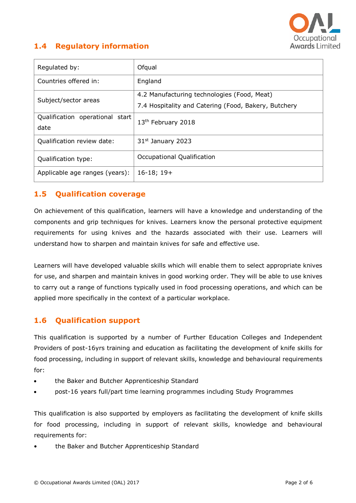

## **1.4 Regulatory information**

| Regulated by:                   | Ofqual                                               |
|---------------------------------|------------------------------------------------------|
| Countries offered in:           | England                                              |
| Subject/sector areas            | 4.2 Manufacturing technologies (Food, Meat)          |
|                                 | 7.4 Hospitality and Catering (Food, Bakery, Butchery |
| Qualification operational start | 13 <sup>th</sup> February 2018                       |
| date                            |                                                      |
| Qualification review date:      | 31 <sup>st</sup> January 2023                        |
| Qualification type:             | Occupational Qualification                           |
| Applicable age ranges (years):  | $16-18; 19+$                                         |

#### **1.5 Qualification coverage**

On achievement of this qualification, learners will have a knowledge and understanding of the components and grip techniques for knives. Learners know the personal protective equipment requirements for using knives and the hazards associated with their use. Learners will understand how to sharpen and maintain knives for safe and effective use.

Learners will have developed valuable skills which will enable them to select appropriate knives for use, and sharpen and maintain knives in good working order. They will be able to use knives to carry out a range of functions typically used in food processing operations, and which can be applied more specifically in the context of a particular workplace.

## **1.6 Qualification support**

This qualification is supported by a number of Further Education Colleges and Independent Providers of post-16yrs training and education as facilitating the development of knife skills for food processing, including in support of relevant skills, knowledge and behavioural requirements for:

- the Baker and Butcher Apprenticeship Standard
- post-16 years full/part time learning programmes including Study Programmes

This qualification is also supported by employers as facilitating the development of knife skills for food processing, including in support of relevant skills, knowledge and behavioural requirements for:

• the Baker and Butcher Apprenticeship Standard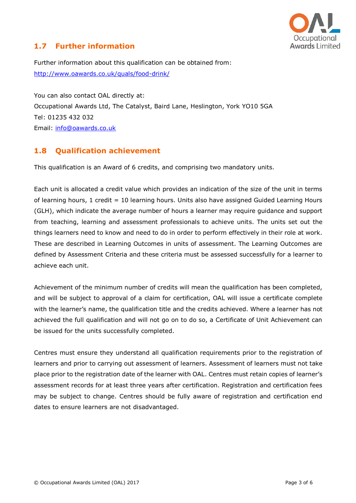

## **1.7 Further information**

Further information about this qualification can be obtained from: <http://www.oawards.co.uk/quals/food-drink/>

You can also contact OAL directly at: Occupational Awards Ltd, The Catalyst, Baird Lane, Heslington, York YO10 5GA Tel: 01235 432 032 Email: [info@oawards.co.uk](mailto:info@oawards.co.uk)

## **1.8 Qualification achievement**

This qualification is an Award of 6 credits, and comprising two mandatory units.

Each unit is allocated a credit value which provides an indication of the size of the unit in terms of learning hours, 1 credit = 10 learning hours. Units also have assigned Guided Learning Hours (GLH), which indicate the average number of hours a learner may require guidance and support from teaching, learning and assessment professionals to achieve units. The units set out the things learners need to know and need to do in order to perform effectively in their role at work. These are described in Learning Outcomes in units of assessment. The Learning Outcomes are defined by Assessment Criteria and these criteria must be assessed successfully for a learner to achieve each unit.

Achievement of the minimum number of credits will mean the qualification has been completed, and will be subject to approval of a claim for certification, OAL will issue a certificate complete with the learner's name, the qualification title and the credits achieved. Where a learner has not achieved the full qualification and will not go on to do so, a Certificate of Unit Achievement can be issued for the units successfully completed.

Centres must ensure they understand all qualification requirements prior to the registration of learners and prior to carrying out assessment of learners. Assessment of learners must not take place prior to the registration date of the learner with OAL. Centres must retain copies of learner's assessment records for at least three years after certification. Registration and certification fees may be subject to change. Centres should be fully aware of registration and certification end dates to ensure learners are not disadvantaged.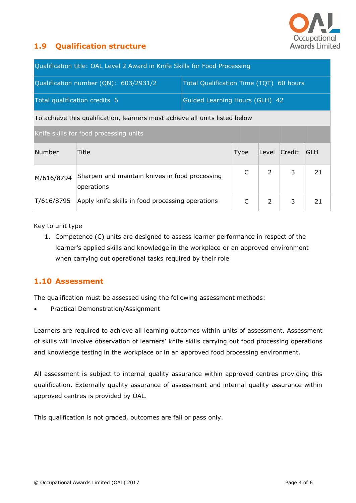

## **1.9 Qualification structure**

| Qualification title: OAL Level 2 Award in Knife Skills for Food Processing  |                                                              |                                         |      |               |        |            |
|-----------------------------------------------------------------------------|--------------------------------------------------------------|-----------------------------------------|------|---------------|--------|------------|
| Qualification number (QN): 603/2931/2                                       |                                                              | Total Qualification Time (TQT) 60 hours |      |               |        |            |
| Total qualification credits 6                                               |                                                              | Guided Learning Hours (GLH) 42          |      |               |        |            |
| To achieve this qualification, learners must achieve all units listed below |                                                              |                                         |      |               |        |            |
| Knife skills for food processing units                                      |                                                              |                                         |      |               |        |            |
| Number                                                                      | Title                                                        |                                         | Type | Level         | Credit | <b>GLH</b> |
| M/616/8794                                                                  | Sharpen and maintain knives in food processing<br>operations |                                         | C    | $\mathcal{P}$ | 3      | 21         |
| T/616/8795                                                                  | Apply knife skills in food processing operations             |                                         | C    | $\mathcal{L}$ | 3      | 21         |

Key to unit type

1. Competence (C) units are designed to assess learner performance in respect of the learner's applied skills and knowledge in the workplace or an approved environment when carrying out operational tasks required by their role

#### **1.10 Assessment**

The qualification must be assessed using the following assessment methods:

Practical Demonstration/Assignment

Learners are required to achieve all learning outcomes within units of assessment. Assessment of skills will involve observation of learners' knife skills carrying out food processing operations and knowledge testing in the workplace or in an approved food processing environment.

All assessment is subject to internal quality assurance within approved centres providing this qualification. Externally quality assurance of assessment and internal quality assurance within approved centres is provided by OAL.

This qualification is not graded, outcomes are fail or pass only.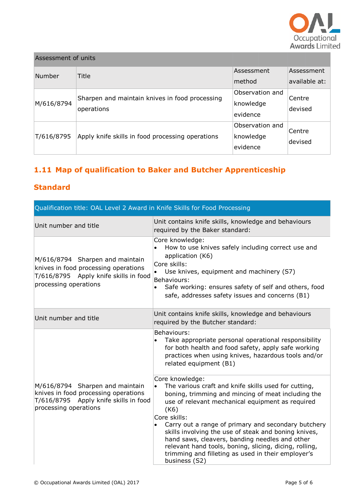

| Assessment of units |                                                              |                                          |                             |
|---------------------|--------------------------------------------------------------|------------------------------------------|-----------------------------|
| Number              | Title                                                        | Assessment<br>method                     | Assessment<br>available at: |
| M/616/8794          | Sharpen and maintain knives in food processing<br>operations | Observation and<br>knowledge<br>evidence | Centre<br>devised           |
| T/616/8795          | Apply knife skills in food processing operations             | Observation and<br>knowledge<br>evidence | Centre<br>devised           |

# **1.11 Map of qualification to Baker and Butcher Apprenticeship**

## **Standard**

| Qualification title: OAL Level 2 Award in Knife Skills for Food Processing                                                                |                                                                                                                                                                                                                                                                                                                                                                                                                                                                                                             |  |  |  |
|-------------------------------------------------------------------------------------------------------------------------------------------|-------------------------------------------------------------------------------------------------------------------------------------------------------------------------------------------------------------------------------------------------------------------------------------------------------------------------------------------------------------------------------------------------------------------------------------------------------------------------------------------------------------|--|--|--|
| Unit number and title                                                                                                                     | Unit contains knife skills, knowledge and behaviours<br>required by the Baker standard:                                                                                                                                                                                                                                                                                                                                                                                                                     |  |  |  |
| M/616/8794 Sharpen and maintain<br>knives in food processing operations<br>T/616/8795 Apply knife skills in food<br>processing operations | Core knowledge:<br>How to use knives safely including correct use and<br>application (K6)<br>Core skills:<br>Use knives, equipment and machinery (S7)<br>Behaviours:<br>Safe working: ensures safety of self and others, food<br>safe, addresses safety issues and concerns (B1)                                                                                                                                                                                                                            |  |  |  |
| Unit number and title                                                                                                                     | Unit contains knife skills, knowledge and behaviours<br>required by the Butcher standard:                                                                                                                                                                                                                                                                                                                                                                                                                   |  |  |  |
|                                                                                                                                           | Behaviours:<br>Take appropriate personal operational responsibility<br>for both health and food safety, apply safe working<br>practices when using knives, hazardous tools and/or<br>related equipment (B1)                                                                                                                                                                                                                                                                                                 |  |  |  |
| M/616/8794 Sharpen and maintain<br>knives in food processing operations<br>T/616/8795 Apply knife skills in food<br>processing operations | Core knowledge:<br>The various craft and knife skills used for cutting,<br>boning, trimming and mincing of meat including the<br>use of relevant mechanical equipment as required<br>(K6)<br>Core skills:<br>Carry out a range of primary and secondary butchery<br>skills involving the use of steak and boning knives,<br>hand saws, cleavers, banding needles and other<br>relevant hand tools, boning, slicing, dicing, rolling,<br>trimming and filleting as used in their employer's<br>business (S2) |  |  |  |